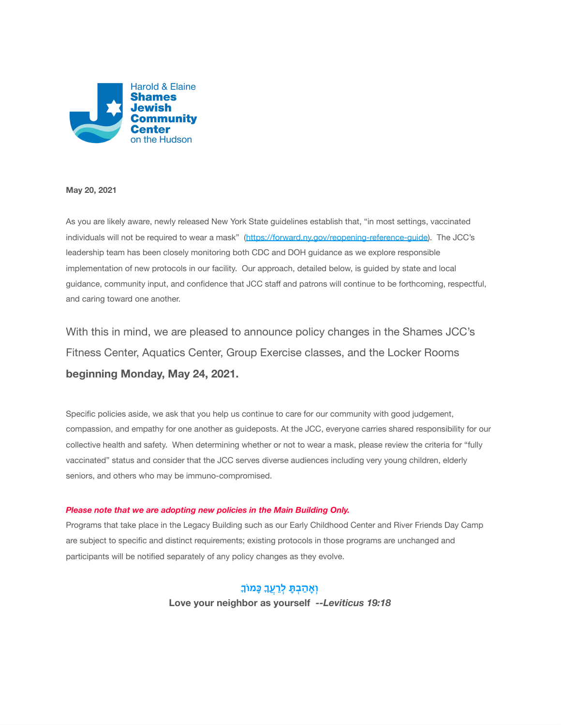

#### **May 20, 2021**

As you are likely aware, newly released New York State guidelines establish that, "in most settings, vaccinated individuals will not be required to wear a mask" [\(https://forward.ny.gov/reopening-reference-guide](https://u5608464.ct.sendgrid.net/ls/click?upn=CTKVSN8srty41D5qM9YJmGVd8Hk8l940-2BaBgn7o4NzZKgdXTetXhogUYK32d-2Bw8bWKKInzgthZrizsfFVEV-2BKH1tyAVWhgNZnA1r26MJQsM-2BLOz-2FOs-2B-2Bji2u4hbw4w-2BeT0Y44pEVoAaiQSNUKHCO-2BZqDphqrp7VZOhsI6HyiMDttzmMci-2FPlRqdLCpEONO3S2mk4l1q6J8rca-2BpFygQp0A-3D-3DFX4i_1zgf5ZEuJ7m0TBLDaFz2ED2IV3jFSkC55aOriWo7jwYWa4LHfB34ieieQaRIjrV6-2Brf-2B6lXqdGgrF9XBcmwwHOaWog0H37aG5f7bTCgdRlkMLHl07eJgFtd5QIiIsXn2f0PSP8ztpkCCPI3qhuwpLgO2Ae5aGAZmWICJ8v59xxMLTQ-2BWwmWf6An0Frq5YMwHS8VvLDsw1ixjyPn-2FENd3t5kgO4vMVYc404O9hGvnt-2FkUT35ost-2Fbk2w8rgqjK5mdCxxBv8Z4b-2FRw6VyJW-2B-2BQwfbDmqxAEeDn4UrTSkSk8amOlpIwySAWysOGcDsLvDD0ysucZRC-2BGARQwqzvvyeUeitoWoiq0bdQ6ucoogZNDk-2BvGikiFieSPQsqxJM6iIB6NA648wEpAMkxTq6bzggWUELXdzQtr5e1XrqIMgNbLfWHi6lNZTZFANLF7nwqoIpiXfesyl1q3uVIhgqltaoRFCl34xtXzNgM-2FA-2B9nkV6sgjMLpqPSNQiyKQdH-2BkxAWyme3BLPobRc47cnKjroU5IGuTFf5SiuDUwYanKkPKpBJXg2w-2F8rsK1JPvB1-2FfUNILMJERzmEuBV5rFc02soFOP-2F4da3-2FG9vaQ0iwFlKaF05GzjXx5zoT55T-2B8rRdVoz0R3rTMWYF36IHn3ZJ7LYWKy7yvA-2FgJApdj8v9o75-2FfRbqPdZaBd2ceIZkkRMV83XTW58yOzTtEqjbA-2Fo1HUbOaCTg-3D-3D)). The JCC's leadership team has been closely monitoring both CDC and DOH guidance as we explore responsible implementation of new protocols in our facility. Our approach, detailed below, is guided by state and local guidance, community input, and confidence that JCC staff and patrons will continue to be forthcoming, respectful, and caring toward one another.

With this in mind, we are pleased to announce policy changes in the Shames JCC's Fitness Center, Aquatics Center, Group Exercise classes, and the Locker Rooms **beginning Monday, May 24, 2021.**

Specific policies aside, we ask that you help us continue to care for our community with good judgement, compassion, and empathy for one another as guideposts. At the JCC, everyone carries shared responsibility for our collective health and safety. When determining whether or not to wear a mask, please review the criteria for "fully vaccinated" status and consider that the JCC serves diverse audiences including very young children, elderly seniors, and others who may be immuno-compromised.

#### *Please note that we are adopting new policies in the Main Building Only.*

Programs that take place in the Legacy Building such as our Early Childhood Center and River Friends Day Camp are subject to specific and distinct requirements; existing protocols in those programs are unchanged and participants will be notified separately of any policy changes as they evolve.

> **ו ָא ַה ְב ָתּ ְל ֲע ָכּמוֹ Love your neighbor as yourself** *--Leviticus 19:18*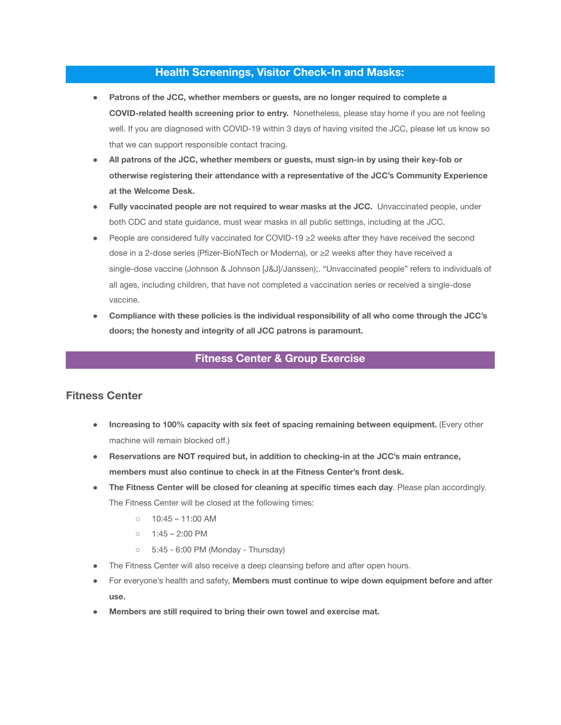#### **Health Screenings, Visitor Check-In and Masks:**

- **Patrons of the JCC, whether members or guests, are no longer required to complete a COVID-related health screening prior to entry.** Nonetheless, please stay home if you are not feeling well. If you are diagnosed with COVID-19 within 3 days of having visited the JCC, please let us know so that we can support responsible contact tracing.
- **All patrons of the JCC, whether members or guests, must sign-in by using their key-fob or otherwise registering their attendance with a representative of the JCC's Community Experience at the Welcome Desk.**
- **Fully vaccinated people are not required to wear masks at the JCC.** Unvaccinated people, under both CDC and state guidance, must wear masks in all public settings, including at the JCC.
- People are considered fully vaccinated for COVID-19 ≥2 weeks after they have received the second dose in a 2-dose series (Pfizer-BioNTech or Moderna), or ≥2 weeks after they have received a single-dose vaccine (Johnson & Johnson [J&J]/Janssen);. "Unvaccinated people" refers to individuals of all ages, including children, that have not completed a vaccination series or received a single-dose vaccine.
- **Compliance with these policies is the individual responsibility of all who come through the JCC's doors; the honesty and integrity of all JCC patrons is paramount.**

## **Fitness Center & Group Exercise**

## **Fitness Center**

- **Increasing to 100% capacity with six feet of spacing remaining between equipment.** (Every other machine will remain blocked off.)
- **Reservations are NOT required but, in addition to checking-in at the JCC's main entrance, members must also continue to check in at the Fitness Center's front desk.**
- **The Fitness Center will be closed for cleaning at specific times each day**. Please plan accordingly. The Fitness Center will be closed at the following times:
	- $\circ$  10:45 11:00 AM
	- $0$  1:45 2:00 PM
	- 5:45 6:00 PM (Monday Thursday)
- The Fitness Center will also receive a deep cleansing before and after open hours.
- For everyone's health and safety, **Members must continue to wipe down equipment before and after use.**
- **Members are still required to bring their own towel and exercise mat.**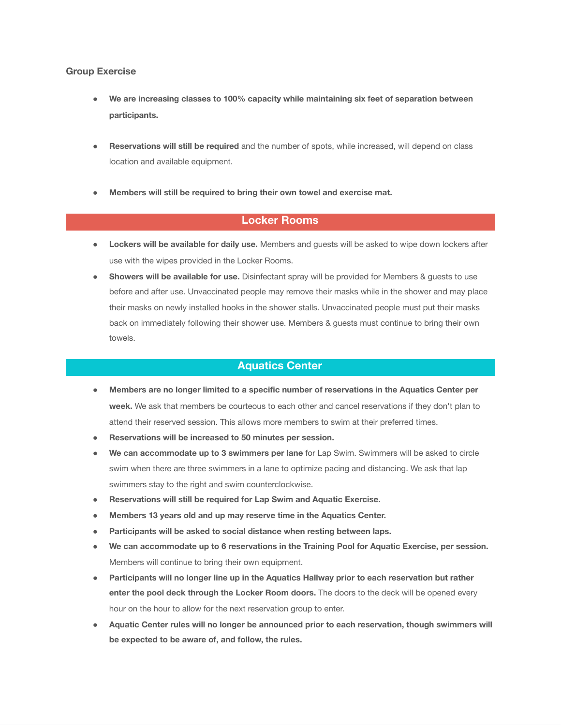#### **Group Exercise**

- **We are increasing classes to 100% capacity while maintaining six feet of separation between participants.**
- **Reservations will still be required** and the number of spots, while increased, will depend on class location and available equipment.
- **Members will still be required to bring their own towel and exercise mat.**

## **Locker Rooms**

- **Lockers will be available for daily use.** Members and guests will be asked to wipe down lockers after use with the wipes provided in the Locker Rooms.
- **Showers will be available for use.** Disinfectant spray will be provided for Members & guests to use before and after use. Unvaccinated people may remove their masks while in the shower and may place their masks on newly installed hooks in the shower stalls. Unvaccinated people must put their masks back on immediately following their shower use. Members & guests must continue to bring their own towels.

### **Aquatics Center**

- **Members are no longer limited to a specific number of reservations in the Aquatics Center per week.** We ask that members be courteous to each other and cancel reservations if they don't plan to attend their reserved session. This allows more members to swim at their preferred times.
- **Reservations will be increased to 50 minutes per session.**
- **We can accommodate up to 3 swimmers per lane** for Lap Swim. Swimmers will be asked to circle swim when there are three swimmers in a lane to optimize pacing and distancing. We ask that lap swimmers stay to the right and swim counterclockwise.
- **Reservations will still be required for Lap Swim and Aquatic Exercise.**
- **Members 13 years old and up may reserve time in the Aquatics Center.**
- **Participants will be asked to social distance when resting between laps.**
- **We can accommodate up to 6 reservations in the Training Pool for Aquatic Exercise, per session.** Members will continue to bring their own equipment.
- **Participants will no longer line up in the Aquatics Hallway prior to each reservation but rather enter the pool deck through the Locker Room doors.** The doors to the deck will be opened every hour on the hour to allow for the next reservation group to enter.
- **Aquatic Center rules will no longer be announced prior to each reservation, though swimmers will be expected to be aware of, and follow, the rules.**